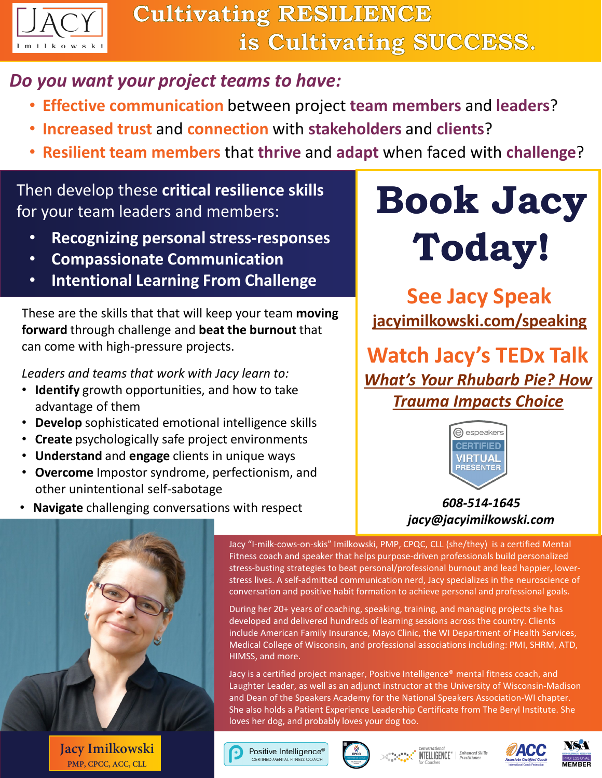

## *Do you want your project teams to have:*

- **Effective communication** between project **team members** and **leaders**?
- **Increased trust** and **connection** with **stakeholders** and **clients**?
- **Resilient team members** that **thrive** and **adapt** when faced with **challenge**?

## Then develop these **critical resilience skills** Then develop these critical resilience skills<br>for your team leaders and members:<br>**Book Jacy**

- **Recognizing personal stress-responses**
- **Compassionate Communication**
- **Intentional Learning From Challenge**

These are the skills that that will keep your team **moving forward** through challenge and **beat the burnout** that can come with high-pressure projects.

*Leaders and teams that work with Jacy learn to:*

- **Identify** growth opportunities, and how to take advantage of them
- **Develop** sophisticated emotional intelligence skills
- **Create** psychologically safe project environments
- **Understand** and **engage** clients in unique ways
- **Overcome** Impostor syndrome, perfectionism, and other unintentional self-sabotage



# **Today!**

**See Jacy Speak [jacyimilkowski.com/speaking](https://jacyimilkowski.com/)**

**Watch Jacy's TEDx Talk** *[What's Your Rhubarb Pie? How](https://youtu.be/IuBJWSakrNA)  Trauma Impacts Choice*



*608-514-1645 jacy@jacyimilkowski.com*



**Jacy Imilkowski PMP, CPCC, ACC, CLL**

Jacy "I-milk-cows-on-skis" Imilkowski, PMP, CPQC, CLL (she/they) is a certified Mental Fitness coach and speaker that helps purpose-driven professionals build personalized stress-busting strategies to beat personal/professional burnout and lead happier, lowerstress lives. A self-admitted communication nerd, Jacy specializes in the neuroscience of conversation and positive habit formation to achieve personal and professional goals.

During her 20+ years of coaching, speaking, training, and managing projects she has developed and delivered hundreds of learning sessions across the country. Clients include American Family Insurance, Mayo Clinic, the WI Department of Health Services, Medical College of Wisconsin, and professional associations including: PMI, SHRM, ATD, HIMSS, and more.

Jacy is a certified project manager, Positive Intelligence® mental fitness coach, and Laughter Leader, as well as an adjunct instructor at the University of Wisconsin-Madison and Dean of the Speakers Academy for the National Speakers Association-WI chapter. She also holds a Patient Experience Leadership Certificate from The Beryl Institute. She loves her dog, and probably loves your dog too.

Positive Intelligence<sup>®</sup> CERTIFIED MENTAL FITNESS COACH



**INTELLIGENCE**<sup>®</sup> | Enhanced Skills